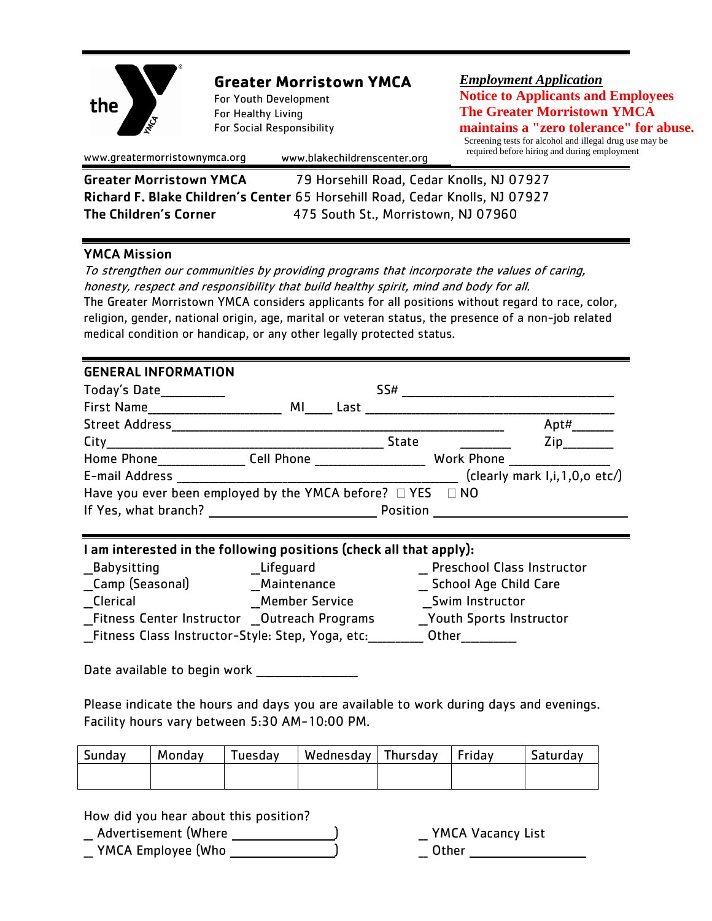

# **Greater Morristown YMCA**

For Youth Development For Healthy Living For Social Responsibility *Employment Application* **Notice to Applicants and Employees The Greater Morristown YMCA maintains a "zero tolerance" for abuse.**

 Screening tests for alcohol and illegal drug use may be required before hiring and during employment *,*

www.greatermorristownymca.org www.blakechildrenscenter.org

Greater Morristown YMCA 79 Horsehill Road, Cedar Knolls, NJ 07927 Richard F. Blake Children's Center 65 Horsehill Road, Cedar Knolls, NJ 07927 The Children's Corner475 South St., Morristown, NJ 07960

## YMCA Mission

To strengthen our communities by providing programs that incorporate the values of caring, honesty, respect and responsibility that build healthy spirit, mind and body for all. The Greater Morristown YMCA considers applicants for all positions without regard to race, color, religion, gender, national origin, age, marital or veteran status, the presence of a non-job related medical condition or handicap, or any other legally protected status.

## GENERAL INFORMATION

| Today's Date___________                                              |    |      | SS#             |                                     |
|----------------------------------------------------------------------|----|------|-----------------|-------------------------------------|
| <b>First Name</b>                                                    | ΜI | Last |                 |                                     |
| <b>Street Address</b>                                                |    |      |                 | Apt#                                |
| City                                                                 |    |      | <b>State</b>    | Zip                                 |
| Home Phone <b>Cell Phone</b>                                         |    |      |                 | Work Phone _____________            |
| E-mail Address                                                       |    |      |                 | (clearly mark $I, i, 1, 0, o$ etc/) |
| Have you ever been employed by the YMCA before? $\Box$ YES $\Box$ NO |    |      |                 |                                     |
|                                                                      |    |      | <b>Position</b> |                                     |

# I am interested in the following positions (check all that apply):

| Babysitting                                        | Lifequard             | <b>Preschool Class Instructor</b> |
|----------------------------------------------------|-----------------------|-----------------------------------|
| Camp (Seasonal)                                    | Maintenance           | <b>School Age Child Care</b>      |
| Clerical                                           | <b>Member Service</b> | Swim Instructor                   |
| <b>Fitness Center Instructor Outreach Programs</b> |                       | <b>Youth Sports Instructor</b>    |
| Fitness Class Instructor-Style: Step, Yoga, etc:   |                       | Other                             |

Date available to begin work \_\_\_\_\_\_\_\_\_\_\_\_\_\_\_\_\_\_\_\_\_\_

Please indicate the hours and days you are available to work during days and evenings. Facility hours vary between 5:30 AM-10:00 PM.

| Sunday | Monday | Tuesday | Wednesday   Thursday   Friday |  | Saturday |
|--------|--------|---------|-------------------------------|--|----------|
|        |        |         |                               |  |          |

How did you hear about this position?

Advertisement (Where  $\qquad \qquad$ ) YMCA Vacancy List \_\_ YMCA Employee (Who \_\_\_\_\_\_\_\_\_\_\_\_\_\_\_) \_\_ Other \_\_\_\_\_\_\_\_\_\_\_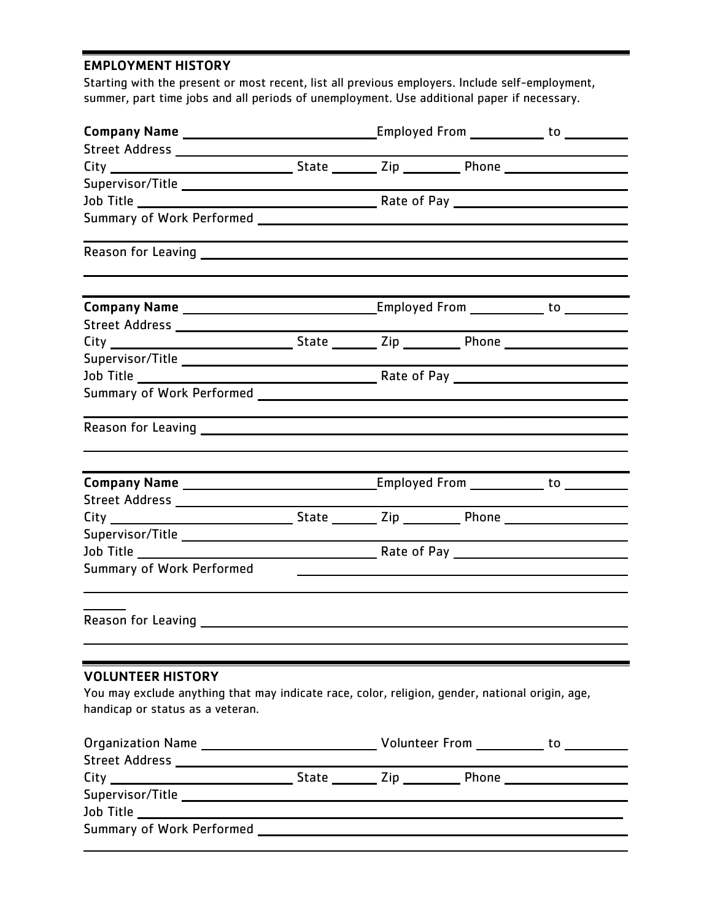### EMPLOYMENT HISTORY

Starting with the present or most recent, list all previous employers. Include self-employment, summer, part time jobs and all periods of unemployment. Use additional paper if necessary.

| Summary of Work Performed                                                                                                                                       |  |  |  | <u> 1989 - Johann Stoff, deutscher Stoffen und der Stoffen und der Stoffen und der Stoffen und der Stoffen und der</u> |
|-----------------------------------------------------------------------------------------------------------------------------------------------------------------|--|--|--|------------------------------------------------------------------------------------------------------------------------|
|                                                                                                                                                                 |  |  |  |                                                                                                                        |
| <b>VOLUNTEER HISTORY</b><br>You may exclude anything that may indicate race, color, religion, gender, national origin, age,<br>handicap or status as a veteran. |  |  |  |                                                                                                                        |
|                                                                                                                                                                 |  |  |  |                                                                                                                        |
|                                                                                                                                                                 |  |  |  |                                                                                                                        |
|                                                                                                                                                                 |  |  |  |                                                                                                                        |
|                                                                                                                                                                 |  |  |  |                                                                                                                        |
|                                                                                                                                                                 |  |  |  |                                                                                                                        |
|                                                                                                                                                                 |  |  |  |                                                                                                                        |
|                                                                                                                                                                 |  |  |  |                                                                                                                        |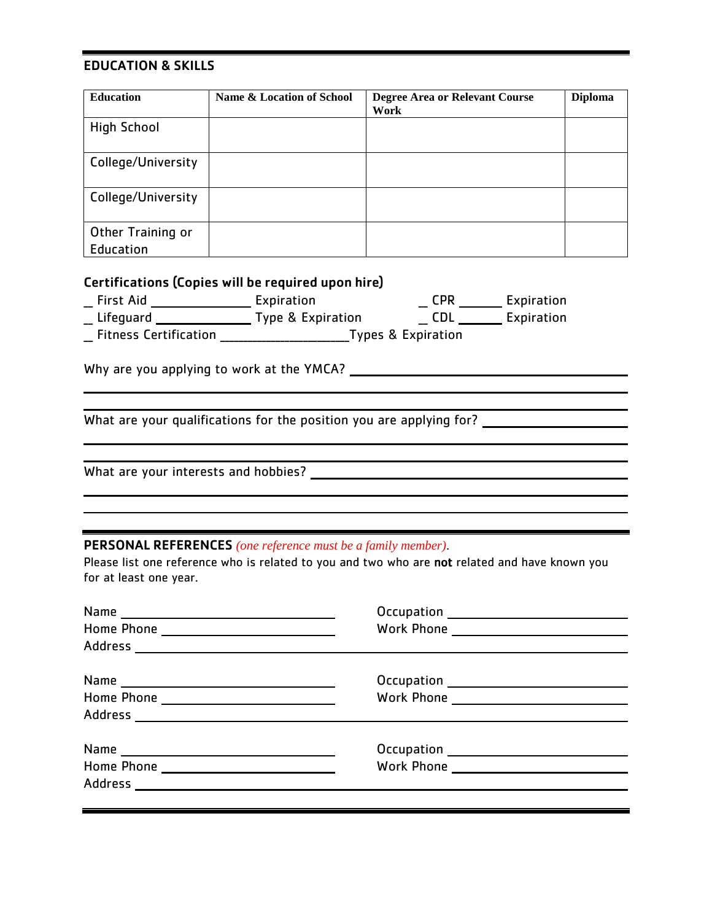### EDUCATION & SKILLS

| <b>Education</b>   | Name & Location of School | <b>Degree Area or Relevant Course</b><br>Work | <b>Diploma</b> |
|--------------------|---------------------------|-----------------------------------------------|----------------|
|                    |                           |                                               |                |
| <b>High School</b> |                           |                                               |                |
|                    |                           |                                               |                |
|                    |                           |                                               |                |
| College/University |                           |                                               |                |
|                    |                           |                                               |                |
|                    |                           |                                               |                |
| College/University |                           |                                               |                |
|                    |                           |                                               |                |
|                    |                           |                                               |                |
| Other Training or  |                           |                                               |                |
|                    |                           |                                               |                |
| Education          |                           |                                               |                |

## Certifications (Copies will be required upon hire)

| First Aid | Expiration        | CPR | Expiration |
|-----------|-------------------|-----|------------|
| Lifequard | Type & Expiration |     | Expiration |

\_\_ Fitness Certification \_\_\_\_\_\_\_\_\_\_\_\_\_\_\_\_\_\_\_\_\_\_\_\_\_\_\_\_Types & Expiration

Why are you applying to work at the YMCA?

What are your qualifications for the position you are applying for?

What are your interests and hobbies?

#### PERSONAL REFERENCES *(one reference must be a family member)*.

Please list one reference who is related to you and two who are not related and have known you for at least one year.

| Address        |  |
|----------------|--|
| <b>Address</b> |  |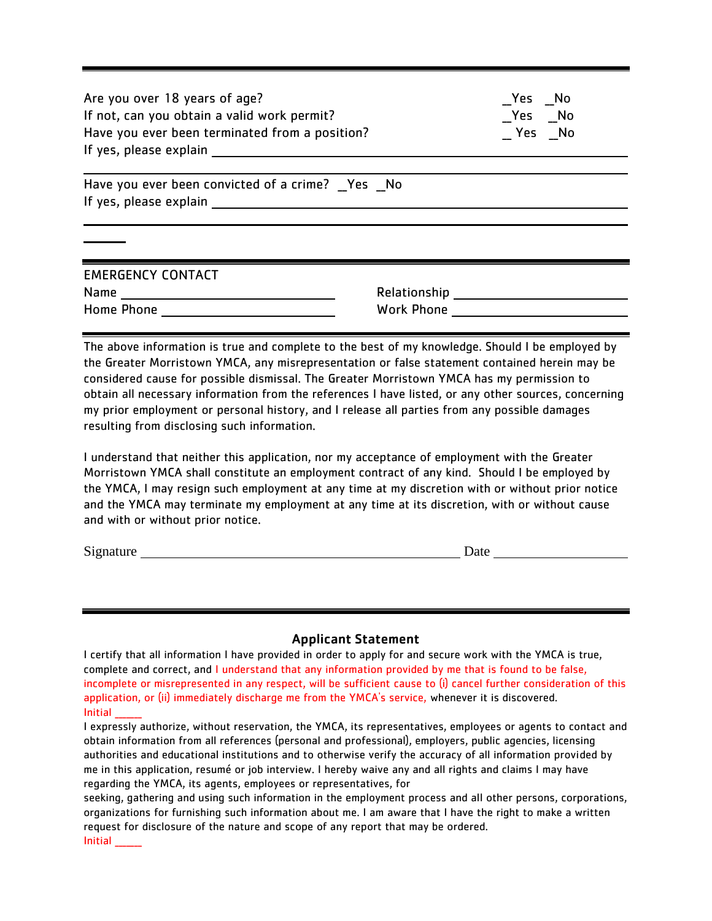| Are you over 18 years of age?<br>If not, can you obtain a valid work permit?<br>Have you ever been terminated from a position?<br>If yes, please explain example and the set of the set of the set of the set of the set of the set of the set of the set of the set of the set of the set of the set of the set of the set of the set of the set of the set of |                                                 | Yes No<br>_Yes _No<br>Yes No |
|-----------------------------------------------------------------------------------------------------------------------------------------------------------------------------------------------------------------------------------------------------------------------------------------------------------------------------------------------------------------|-------------------------------------------------|------------------------------|
| Have you ever been convicted of a crime? Yes No<br>If yes, please explain example and the set of the set of the set of the set of the set of the set of the set of the set of the set of the set of the set of the set of the set of the set of the set of the set of the set of                                                                                |                                                 |                              |
| <b>EMERGENCY CONTACT</b><br>Home Phone                                                                                                                                                                                                                                                                                                                          | Relationship ____________________<br>Work Phone |                              |

The above information is true and complete to the best of my knowledge. Should I be employed by the Greater Morristown YMCA, any misrepresentation or false statement contained herein may be considered cause for possible dismissal. The Greater Morristown YMCA has my permission to obtain all necessary information from the references I have listed, or any other sources, concerning my prior employment or personal history, and I release all parties from any possible damages resulting from disclosing such information.

I understand that neither this application, nor my acceptance of employment with the Greater Morristown YMCA shall constitute an employment contract of any kind. Should I be employed by the YMCA, I may resign such employment at any time at my discretion with or without prior notice and the YMCA may terminate my employment at any time at its discretion, with or without cause and with or without prior notice.

Signature Date Date Date

#### Applicant Statement

I certify that all information I have provided in order to apply for and secure work with the YMCA is true, complete and correct, and I understand that any information provided by me that is found to be false, incomplete or misrepresented in any respect, will be sufficient cause to (i) cancel further consideration of this application, or (ii) immediately discharge me from the YMCA's service, whenever it is discovered. Initial \_\_\_\_\_\_\_

I expressly authorize, without reservation, the YMCA, its representatives, employees or agents to contact and obtain information from all references (personal and professional), employers, public agencies, licensing authorities and educational institutions and to otherwise verify the accuracy of all information provided by me in this application, resumé or job interview. I hereby waive any and all rights and claims I may have regarding the YMCA, its agents, employees or representatives, for

seeking, gathering and using such information in the employment process and all other persons, corporations, organizations for furnishing such information about me. I am aware that I have the right to make a written request for disclosure of the nature and scope of any report that may be ordered. Initial \_\_\_\_\_\_\_